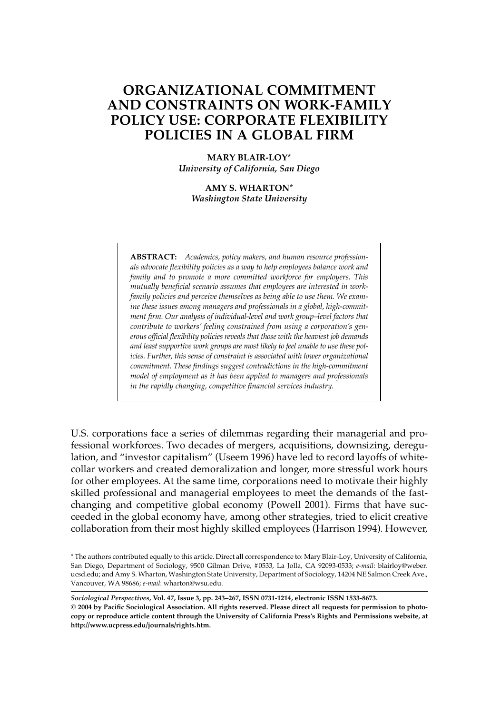# **ORGANIZATIONAL COMMITMENT AND CONSTRAINTS ON WORK-FAMILY POLICY USE: CORPORATE FLEXIBILITY POLICIES IN A GLOBAL FIRM**

**MARY BLAIR-LOY\*** *University of California, San Diego*

**AMY S. WHARTON\*** *Washington State University*

**ABSTRACT:** *Academics, policy makers, and human resource professionals advocate flexibility policies as a way to help employees balance work and family and to promote a more committed workforce for employers. This mutually beneficial scenario assumes that employees are interested in workfamily policies and perceive themselves as being able to use them. We examine these issues among managers and professionals in a global, high-commitment firm. Our analysis of individual-level and work group–level factors that contribute to workers' feeling constrained from using a corporation's generous official flexibility policies reveals that those with the heaviest job demands and least supportive work groups are most likely to feel unable to use these policies. Further, this sense of constraint is associated with lower organizational commitment. These findings suggest contradictions in the high-commitment model of employment as it has been applied to managers and professionals in the rapidly changing, competitive financial services industry.*

U.S. corporations face a series of dilemmas regarding their managerial and professional workforces. Two decades of mergers, acquisitions, downsizing, deregulation, and "investor capitalism" (Useem 1996) have led to record layoffs of whitecollar workers and created demoralization and longer, more stressful work hours for other employees. At the same time, corporations need to motivate their highly skilled professional and managerial employees to meet the demands of the fastchanging and competitive global economy (Powell 2001). Firms that have succeeded in the global economy have, among other strategies, tried to elicit creative collaboration from their most highly skilled employees (Harrison 1994). However,

\* The authors contributed equally to this article. Direct all correspondence to: Mary Blair-Loy, University of California, San Diego, Department of Sociology, 9500 Gilman Drive, #0533, La Jolla, CA 92093-0533; *e-mail*: blairloy@weber. ucsd.edu; and Amy S. Wharton, Washington State University, Department of Sociology, 14204 NE Salmon Creek Ave., Vancouver, WA 98686; *e-mail*: wharton@wsu.edu.

*Sociological Perspectives***, Vol. 47, Issue 3, pp. 243–267, ISSN 0731-1214, electronic ISSN 1533-8673. © 2004 by Pacific Sociological Association. All rights reserved. Please direct all requests for permission to photocopy or reproduce article content through the University of California Press's Rights and Permissions website, at http://www.ucpress.edu/journals/rights.htm.**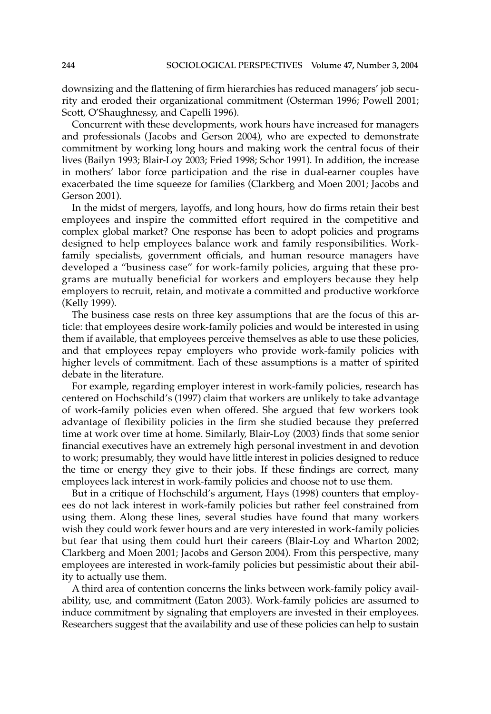downsizing and the flattening of firm hierarchies has reduced managers' job security and eroded their organizational commitment (Osterman 1996; Powell 2001; Scott, O'Shaughnessy, and Capelli 1996).

Concurrent with these developments, work hours have increased for managers and professionals (Jacobs and Gerson 2004), who are expected to demonstrate commitment by working long hours and making work the central focus of their lives (Bailyn 1993; Blair-Loy 2003; Fried 1998; Schor 1991). In addition, the increase in mothers' labor force participation and the rise in dual-earner couples have exacerbated the time squeeze for families (Clarkberg and Moen 2001; Jacobs and Gerson 2001).

In the midst of mergers, layoffs, and long hours, how do firms retain their best employees and inspire the committed effort required in the competitive and complex global market? One response has been to adopt policies and programs designed to help employees balance work and family responsibilities. Workfamily specialists, government officials, and human resource managers have developed a "business case" for work-family policies, arguing that these programs are mutually beneficial for workers and employers because they help employers to recruit, retain, and motivate a committed and productive workforce (Kelly 1999).

The business case rests on three key assumptions that are the focus of this article: that employees desire work-family policies and would be interested in using them if available, that employees perceive themselves as able to use these policies, and that employees repay employers who provide work-family policies with higher levels of commitment. Each of these assumptions is a matter of spirited debate in the literature.

For example, regarding employer interest in work-family policies, research has centered on Hochschild's (1997) claim that workers are unlikely to take advantage of work-family policies even when offered. She argued that few workers took advantage of flexibility policies in the firm she studied because they preferred time at work over time at home. Similarly, Blair-Loy (2003) finds that some senior financial executives have an extremely high personal investment in and devotion to work; presumably, they would have little interest in policies designed to reduce the time or energy they give to their jobs. If these findings are correct, many employees lack interest in work-family policies and choose not to use them.

But in a critique of Hochschild's argument, Hays (1998) counters that employees do not lack interest in work-family policies but rather feel constrained from using them. Along these lines, several studies have found that many workers wish they could work fewer hours and are very interested in work-family policies but fear that using them could hurt their careers (Blair-Loy and Wharton 2002; Clarkberg and Moen 2001; Jacobs and Gerson 2004). From this perspective, many employees are interested in work-family policies but pessimistic about their ability to actually use them.

A third area of contention concerns the links between work-family policy availability, use, and commitment (Eaton 2003). Work-family policies are assumed to induce commitment by signaling that employers are invested in their employees. Researchers suggest that the availability and use of these policies can help to sustain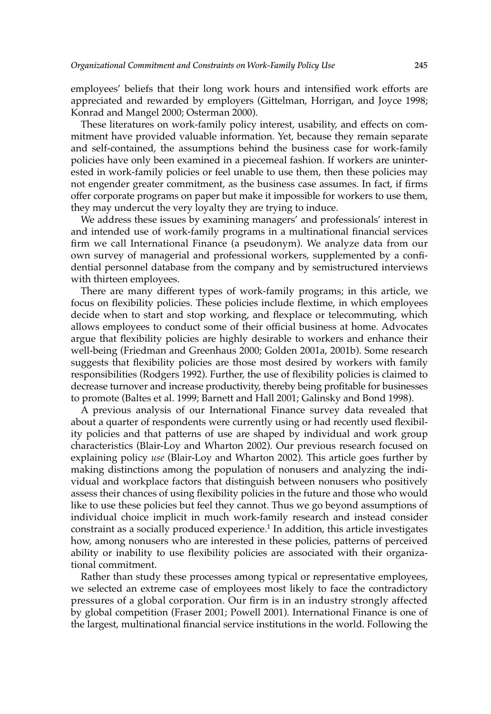employees' beliefs that their long work hours and intensified work efforts are appreciated and rewarded by employers (Gittelman, Horrigan, and Joyce 1998; Konrad and Mangel 2000; Osterman 2000).

These literatures on work-family policy interest, usability, and effects on commitment have provided valuable information. Yet, because they remain separate and self-contained, the assumptions behind the business case for work-family policies have only been examined in a piecemeal fashion. If workers are uninterested in work-family policies or feel unable to use them, then these policies may not engender greater commitment, as the business case assumes. In fact, if firms offer corporate programs on paper but make it impossible for workers to use them, they may undercut the very loyalty they are trying to induce.

We address these issues by examining managers' and professionals' interest in and intended use of work-family programs in a multinational financial services firm we call International Finance (a pseudonym). We analyze data from our own survey of managerial and professional workers, supplemented by a confidential personnel database from the company and by semistructured interviews with thirteen employees.

There are many different types of work-family programs; in this article, we focus on flexibility policies. These policies include flextime, in which employees decide when to start and stop working, and flexplace or telecommuting, which allows employees to conduct some of their official business at home. Advocates argue that flexibility policies are highly desirable to workers and enhance their well-being (Friedman and Greenhaus 2000; Golden 2001a, 2001b). Some research suggests that flexibility policies are those most desired by workers with family responsibilities (Rodgers 1992). Further, the use of flexibility policies is claimed to decrease turnover and increase productivity, thereby being profitable for businesses to promote (Baltes et al. 1999; Barnett and Hall 2001; Galinsky and Bond 1998).

A previous analysis of our International Finance survey data revealed that about a quarter of respondents were currently using or had recently used flexibility policies and that patterns of use are shaped by individual and work group characteristics (Blair-Loy and Wharton 2002). Our previous research focused on explaining policy *use* (Blair-Loy and Wharton 2002). This article goes further by making distinctions among the population of nonusers and analyzing the individual and workplace factors that distinguish between nonusers who positively assess their chances of using flexibility policies in the future and those who would like to use these policies but feel they cannot. Thus we go beyond assumptions of individual choice implicit in much work-family research and instead consider constraint as a socially produced experience.<sup>1</sup> In addition, this article investigates how, among nonusers who are interested in these policies, patterns of perceived ability or inability to use flexibility policies are associated with their organizational commitment.

Rather than study these processes among typical or representative employees, we selected an extreme case of employees most likely to face the contradictory pressures of a global corporation. Our firm is in an industry strongly affected by global competition (Fraser 2001; Powell 2001). International Finance is one of the largest, multinational financial service institutions in the world. Following the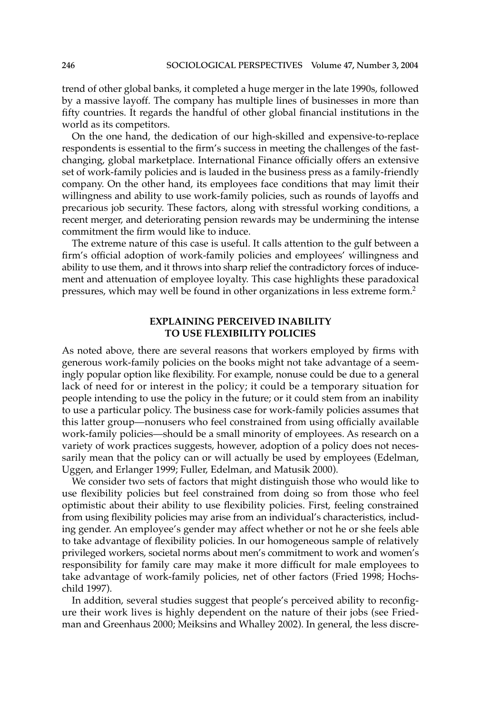trend of other global banks, it completed a huge merger in the late 1990s, followed by a massive layoff. The company has multiple lines of businesses in more than fifty countries. It regards the handful of other global financial institutions in the world as its competitors.

On the one hand, the dedication of our high-skilled and expensive-to-replace respondents is essential to the firm's success in meeting the challenges of the fastchanging, global marketplace. International Finance officially offers an extensive set of work-family policies and is lauded in the business press as a family-friendly company. On the other hand, its employees face conditions that may limit their willingness and ability to use work-family policies, such as rounds of layoffs and precarious job security. These factors, along with stressful working conditions, a recent merger, and deteriorating pension rewards may be undermining the intense commitment the firm would like to induce.

The extreme nature of this case is useful. It calls attention to the gulf between a firm's official adoption of work-family policies and employees' willingness and ability to use them, and it throws into sharp relief the contradictory forces of inducement and attenuation of employee loyalty. This case highlights these paradoxical pressures, which may well be found in other organizations in less extreme form.<sup>2</sup>

## **EXPLAINING PERCEIVED INABILITY TO USE FLEXIBILITY POLICIES**

As noted above, there are several reasons that workers employed by firms with generous work-family policies on the books might not take advantage of a seemingly popular option like flexibility. For example, nonuse could be due to a general lack of need for or interest in the policy; it could be a temporary situation for people intending to use the policy in the future; or it could stem from an inability to use a particular policy. The business case for work-family policies assumes that this latter group—nonusers who feel constrained from using officially available work-family policies—should be a small minority of employees. As research on a variety of work practices suggests, however, adoption of a policy does not necessarily mean that the policy can or will actually be used by employees (Edelman, Uggen, and Erlanger 1999; Fuller, Edelman, and Matusik 2000).

We consider two sets of factors that might distinguish those who would like to use flexibility policies but feel constrained from doing so from those who feel optimistic about their ability to use flexibility policies. First, feeling constrained from using flexibility policies may arise from an individual's characteristics, including gender. An employee's gender may affect whether or not he or she feels able to take advantage of flexibility policies. In our homogeneous sample of relatively privileged workers, societal norms about men's commitment to work and women's responsibility for family care may make it more difficult for male employees to take advantage of work-family policies, net of other factors (Fried 1998; Hochschild 1997).

In addition, several studies suggest that people's perceived ability to reconfigure their work lives is highly dependent on the nature of their jobs (see Friedman and Greenhaus 2000; Meiksins and Whalley 2002). In general, the less discre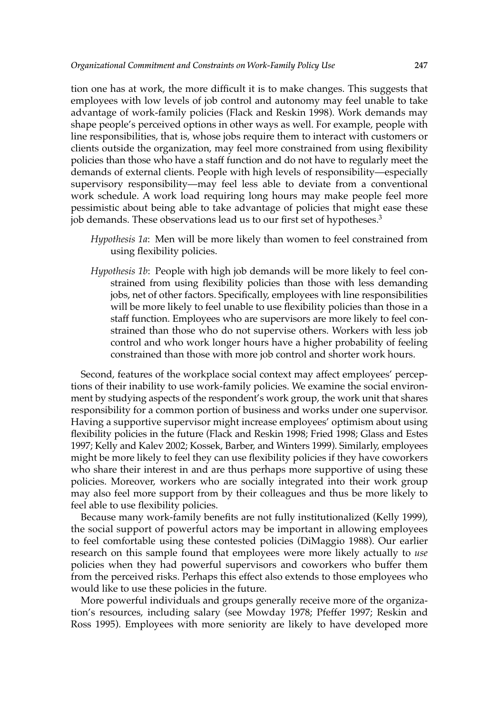tion one has at work, the more difficult it is to make changes. This suggests that employees with low levels of job control and autonomy may feel unable to take advantage of work-family policies (Flack and Reskin 1998). Work demands may shape people's perceived options in other ways as well. For example, people with line responsibilities, that is, whose jobs require them to interact with customers or clients outside the organization, may feel more constrained from using flexibility policies than those who have a staff function and do not have to regularly meet the demands of external clients. People with high levels of responsibility—especially supervisory responsibility—may feel less able to deviate from a conventional work schedule. A work load requiring long hours may make people feel more pessimistic about being able to take advantage of policies that might ease these job demands. These observations lead us to our first set of hypotheses.3

- *Hypothesis 1a*: Men will be more likely than women to feel constrained from using flexibility policies.
- *Hypothesis 1b*: People with high job demands will be more likely to feel constrained from using flexibility policies than those with less demanding jobs, net of other factors. Specifically, employees with line responsibilities will be more likely to feel unable to use flexibility policies than those in a staff function. Employees who are supervisors are more likely to feel constrained than those who do not supervise others. Workers with less job control and who work longer hours have a higher probability of feeling constrained than those with more job control and shorter work hours.

Second, features of the workplace social context may affect employees' perceptions of their inability to use work-family policies. We examine the social environment by studying aspects of the respondent's work group, the work unit that shares responsibility for a common portion of business and works under one supervisor. Having a supportive supervisor might increase employees' optimism about using flexibility policies in the future (Flack and Reskin 1998; Fried 1998; Glass and Estes 1997; Kelly and Kalev 2002; Kossek, Barber, and Winters 1999). Similarly, employees might be more likely to feel they can use flexibility policies if they have coworkers who share their interest in and are thus perhaps more supportive of using these policies. Moreover, workers who are socially integrated into their work group may also feel more support from by their colleagues and thus be more likely to feel able to use flexibility policies.

Because many work-family benefits are not fully institutionalized (Kelly 1999), the social support of powerful actors may be important in allowing employees to feel comfortable using these contested policies (DiMaggio 1988). Our earlier research on this sample found that employees were more likely actually to *use* policies when they had powerful supervisors and coworkers who buffer them from the perceived risks. Perhaps this effect also extends to those employees who would like to use these policies in the future.

More powerful individuals and groups generally receive more of the organization's resources, including salary (see Mowday 1978; Pfeffer 1997; Reskin and Ross 1995). Employees with more seniority are likely to have developed more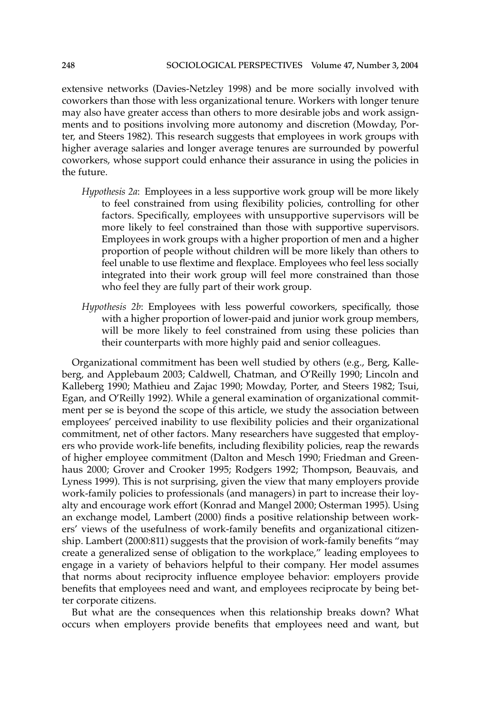extensive networks (Davies-Netzley 1998) and be more socially involved with coworkers than those with less organizational tenure. Workers with longer tenure may also have greater access than others to more desirable jobs and work assignments and to positions involving more autonomy and discretion (Mowday, Porter, and Steers 1982). This research suggests that employees in work groups with higher average salaries and longer average tenures are surrounded by powerful coworkers, whose support could enhance their assurance in using the policies in the future.

- *Hypothesis 2a*: Employees in a less supportive work group will be more likely to feel constrained from using flexibility policies, controlling for other factors. Specifically, employees with unsupportive supervisors will be more likely to feel constrained than those with supportive supervisors. Employees in work groups with a higher proportion of men and a higher proportion of people without children will be more likely than others to feel unable to use flextime and flexplace. Employees who feel less socially integrated into their work group will feel more constrained than those who feel they are fully part of their work group.
- *Hypothesis 2b*: Employees with less powerful coworkers, specifically, those with a higher proportion of lower-paid and junior work group members, will be more likely to feel constrained from using these policies than their counterparts with more highly paid and senior colleagues.

Organizational commitment has been well studied by others (e.g., Berg, Kalleberg, and Applebaum 2003; Caldwell, Chatman, and O'Reilly 1990; Lincoln and Kalleberg 1990; Mathieu and Zajac 1990; Mowday, Porter, and Steers 1982; Tsui, Egan, and O'Reilly 1992). While a general examination of organizational commitment per se is beyond the scope of this article, we study the association between employees' perceived inability to use flexibility policies and their organizational commitment, net of other factors. Many researchers have suggested that employers who provide work-life benefits, including flexibility policies, reap the rewards of higher employee commitment (Dalton and Mesch 1990; Friedman and Greenhaus 2000; Grover and Crooker 1995; Rodgers 1992; Thompson, Beauvais, and Lyness 1999). This is not surprising, given the view that many employers provide work-family policies to professionals (and managers) in part to increase their loyalty and encourage work effort (Konrad and Mangel 2000; Osterman 1995). Using an exchange model, Lambert (2000) finds a positive relationship between workers' views of the usefulness of work-family benefits and organizational citizenship. Lambert (2000:811) suggests that the provision of work-family benefits "may create a generalized sense of obligation to the workplace," leading employees to engage in a variety of behaviors helpful to their company. Her model assumes that norms about reciprocity influence employee behavior: employers provide benefits that employees need and want, and employees reciprocate by being better corporate citizens.

But what are the consequences when this relationship breaks down? What occurs when employers provide benefits that employees need and want, but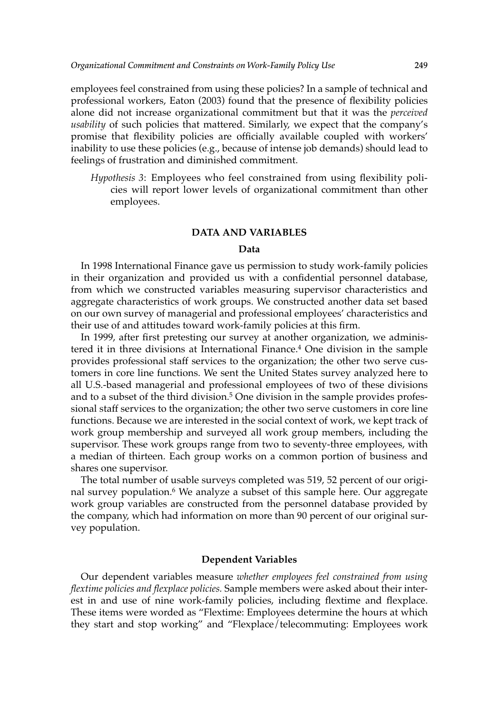employees feel constrained from using these policies? In a sample of technical and professional workers, Eaton (2003) found that the presence of flexibility policies alone did not increase organizational commitment but that it was the *perceived usability* of such policies that mattered. Similarly, we expect that the company's promise that flexibility policies are officially available coupled with workers' inability to use these policies (e.g., because of intense job demands) should lead to feelings of frustration and diminished commitment.

*Hypothesis 3*: Employees who feel constrained from using flexibility policies will report lower levels of organizational commitment than other employees.

#### **DATA AND VARIABLES**

#### **Data**

In 1998 International Finance gave us permission to study work-family policies in their organization and provided us with a confidential personnel database, from which we constructed variables measuring supervisor characteristics and aggregate characteristics of work groups. We constructed another data set based on our own survey of managerial and professional employees' characteristics and their use of and attitudes toward work-family policies at this firm.

In 1999, after first pretesting our survey at another organization, we administered it in three divisions at International Finance.4 One division in the sample provides professional staff services to the organization; the other two serve customers in core line functions. We sent the United States survey analyzed here to all U.S.-based managerial and professional employees of two of these divisions and to a subset of the third division.<sup>5</sup> One division in the sample provides professional staff services to the organization; the other two serve customers in core line functions. Because we are interested in the social context of work, we kept track of work group membership and surveyed all work group members, including the supervisor. These work groups range from two to seventy-three employees, with a median of thirteen. Each group works on a common portion of business and shares one supervisor.

The total number of usable surveys completed was 519, 52 percent of our original survey population.<sup>6</sup> We analyze a subset of this sample here. Our aggregate work group variables are constructed from the personnel database provided by the company, which had information on more than 90 percent of our original survey population.

## **Dependent Variables**

Our dependent variables measure *whether employees feel constrained from using flextime policies and flexplace policies.* Sample members were asked about their interest in and use of nine work-family policies, including flextime and flexplace. These items were worded as "Flextime: Employees determine the hours at which they start and stop working" and "Flexplace/telecommuting: Employees work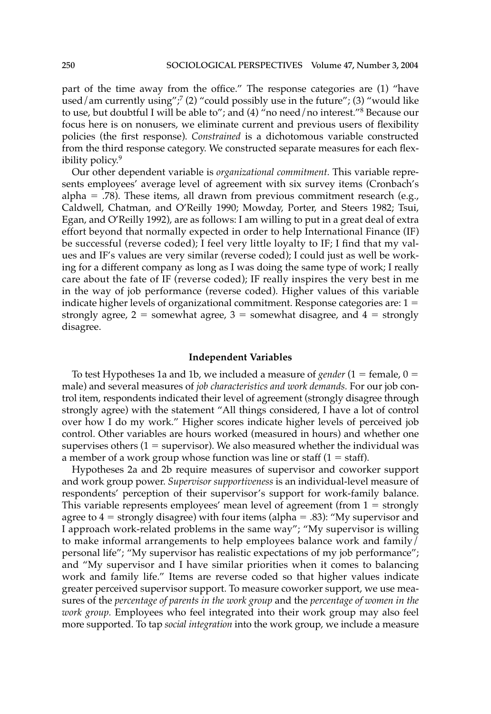part of the time away from the office." The response categories are (1) "have used/am currently using";<sup>7</sup> (2) "could possibly use in the future"; (3) "would like to use, but doubtful I will be able to"; and (4) "no need/no interest."8 Because our focus here is on nonusers, we eliminate current and previous users of flexibility policies (the first response). *Constrained* is a dichotomous variable constructed from the third response category. We constructed separate measures for each flexibility policy.9

Our other dependent variable is *organizational commitment.* This variable represents employees' average level of agreement with six survey items (Cronbach's alpha = .78). These items, all drawn from previous commitment research (e.g., Caldwell, Chatman, and O'Reilly 1990; Mowday, Porter, and Steers 1982; Tsui, Egan, and O'Reilly 1992), are as follows: I am willing to put in a great deal of extra effort beyond that normally expected in order to help International Finance (IF) be successful (reverse coded); I feel very little loyalty to IF; I find that my values and IF's values are very similar (reverse coded); I could just as well be working for a different company as long as I was doing the same type of work; I really care about the fate of IF (reverse coded); IF really inspires the very best in me in the way of job performance (reverse coded). Higher values of this variable indicate higher levels of organizational commitment. Response categories are: 1  $\!=$ strongly agree, 2 = somewhat agree, 3 = somewhat disagree, and 4 = strongly disagree.

#### **Independent Variables**

To test Hypotheses 1a and 1b, we included a measure of *gender*  $(1 = \text{female}, 0 =$ male) and several measures of *job characteristics and work demands.* For our job control item, respondents indicated their level of agreement (strongly disagree through strongly agree) with the statement "All things considered, I have a lot of control over how I do my work." Higher scores indicate higher levels of perceived job control. Other variables are hours worked (measured in hours) and whether one supervises others (1 = supervisor). We also measured whether the individual was a member of a work group whose function was line or staff (1 = staff).

Hypotheses 2a and 2b require measures of supervisor and coworker support and work group power. *Supervisor supportiveness* is an individual-level measure of respondents' perception of their supervisor's support for work-family balance. This variable represents employees' mean level of agreement (from  $1 =$  strongly agree to 4 = strongly disagree) with four items (alpha = .83): "My supervisor and I approach work-related problems in the same way"; "My supervisor is willing to make informal arrangements to help employees balance work and family/ personal life"; "My supervisor has realistic expectations of my job performance"; and "My supervisor and I have similar priorities when it comes to balancing work and family life." Items are reverse coded so that higher values indicate greater perceived supervisor support. To measure coworker support, we use measures of the *percentage of parents in the work group* and the *percentage of women in the work group.* Employees who feel integrated into their work group may also feel more supported. To tap *social integration* into the work group, we include a measure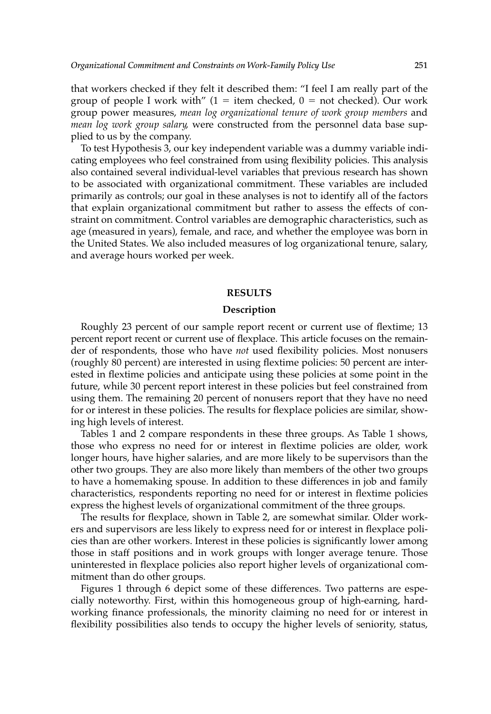that workers checked if they felt it described them: "I feel I am really part of the group of people I work with" (1 = item checked, 0 = not checked). Our work group power measures, *mean log organizational tenure of work group members* and *mean log work group salary*, were constructed from the personnel data base supplied to us by the company.

To test Hypothesis 3, our key independent variable was a dummy variable indicating employees who feel constrained from using flexibility policies. This analysis also contained several individual-level variables that previous research has shown to be associated with organizational commitment. These variables are included primarily as controls; our goal in these analyses is not to identify all of the factors that explain organizational commitment but rather to assess the effects of constraint on commitment. Control variables are demographic characteristics, such as age (measured in years), female, and race, and whether the employee was born in the United States. We also included measures of log organizational tenure, salary, and average hours worked per week.

#### **RESULTS**

### **Description**

Roughly 23 percent of our sample report recent or current use of flextime; 13 percent report recent or current use of flexplace. This article focuses on the remainder of respondents, those who have *not* used flexibility policies. Most nonusers (roughly 80 percent) are interested in using flextime policies: 50 percent are interested in flextime policies and anticipate using these policies at some point in the future, while 30 percent report interest in these policies but feel constrained from using them. The remaining 20 percent of nonusers report that they have no need for or interest in these policies. The results for flexplace policies are similar, showing high levels of interest.

Tables 1 and 2 compare respondents in these three groups. As Table 1 shows, those who express no need for or interest in flextime policies are older, work longer hours, have higher salaries, and are more likely to be supervisors than the other two groups. They are also more likely than members of the other two groups to have a homemaking spouse. In addition to these differences in job and family characteristics, respondents reporting no need for or interest in flextime policies express the highest levels of organizational commitment of the three groups.

The results for flexplace, shown in Table 2, are somewhat similar. Older workers and supervisors are less likely to express need for or interest in flexplace policies than are other workers. Interest in these policies is significantly lower among those in staff positions and in work groups with longer average tenure. Those uninterested in flexplace policies also report higher levels of organizational commitment than do other groups.

Figures 1 through 6 depict some of these differences. Two patterns are especially noteworthy. First, within this homogeneous group of high-earning, hardworking finance professionals, the minority claiming no need for or interest in flexibility possibilities also tends to occupy the higher levels of seniority, status,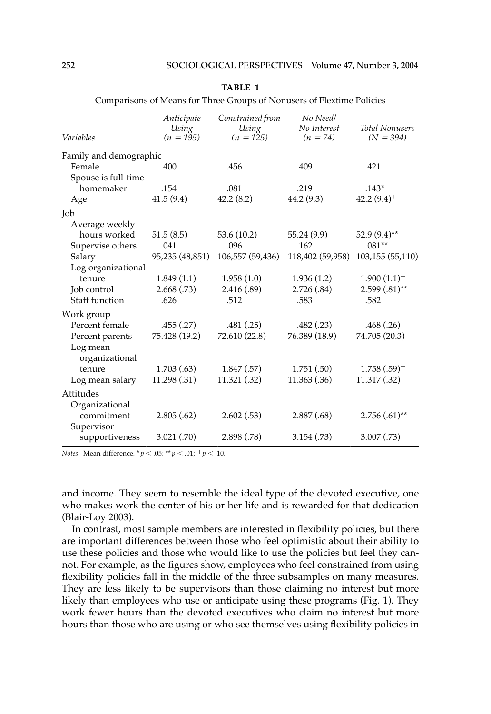| arroorio or ritoario ror ritroo oroap |                                    |                                          |                                       |                                      |
|---------------------------------------|------------------------------------|------------------------------------------|---------------------------------------|--------------------------------------|
| Variables                             | Anticipate<br>Using<br>$(n = 195)$ | Constrained from<br>Using<br>$(n = 125)$ | No Need/<br>No Interest<br>$(n = 74)$ | <b>Total Nonusers</b><br>$(N = 394)$ |
| Family and demographic                |                                    |                                          |                                       |                                      |
| Female                                | .400                               | .456                                     | .409                                  | .421                                 |
| Spouse is full-time                   |                                    |                                          |                                       |                                      |
| homemaker                             | .154                               | .081                                     | .219                                  | $.143*$                              |
| Age                                   | 41.5(9.4)                          | 42.2(8.2)                                | 44.2 (9.3)                            | 42.2 $(9.4)$ <sup>+</sup>            |
| Job                                   |                                    |                                          |                                       |                                      |
| Average weekly                        |                                    |                                          |                                       |                                      |
| hours worked                          | 51.5(8.5)                          | 53.6 (10.2)                              | 55.24 (9.9)                           | 52.9 $(9.4)$ **                      |
| Supervise others                      | .041                               | .096                                     | .162                                  | $.081**$                             |
| Salary                                | 95,235 (48,851)                    | 106,557 (59,436)                         | 118,402 (59,958)                      | 103,155 (55,110)                     |
| Log organizational                    |                                    |                                          |                                       |                                      |
| tenure                                | 1.849(1.1)                         | 1.958(1.0)                               | 1.936(1.2)                            | $1.900(1.1)^+$                       |
| Job control                           | 2.668(.73)                         | 2.416(.89)                               | 2.726 (.84)                           | $2.599(.81)$ **                      |
| Staff function                        | .626                               | .512                                     | .583                                  | .582                                 |
| Work group                            |                                    |                                          |                                       |                                      |
| Percent female                        | .455(.27)                          | .481(.25)                                | .482(.23)                             | .468(.26)                            |
| Percent parents                       | 75.428 (19.2)                      | 72.610 (22.8)                            | 76.389 (18.9)                         | 74.705 (20.3)                        |
| Log mean                              |                                    |                                          |                                       |                                      |
| organizational                        |                                    |                                          |                                       |                                      |
| tenure                                | 1.703(0.63)                        | 1.847(.57)                               | 1.751(.50)                            | $1.758(.59)^+$                       |
| Log mean salary                       | 11.298(.31)                        | 11.321 (.32)                             | 11.363(.36)                           | 11.317 (.32)                         |
| Attitudes                             |                                    |                                          |                                       |                                      |
| Organizational                        |                                    |                                          |                                       |                                      |
| commitment                            | 2.805(.62)                         | 2.602(.53)                               | 2.887(.68)                            | $2.756$ $(.61)$ **                   |
| Supervisor                            |                                    |                                          |                                       |                                      |
| supportiveness                        | 3.021(.70)                         | 2.898(.78)                               | 3.154(.73)                            | $3.007(.73)^+$                       |

| 'A BI J |
|---------|
|---------|

Comparisons of Means for Three Groups of Nonusers of Flextime Policies

*Notes*: Mean difference,  $^*p < .05$ ;  $^{**}p < .01$ ;  $^+p < .10$ .

and income. They seem to resemble the ideal type of the devoted executive, one who makes work the center of his or her life and is rewarded for that dedication (Blair-Loy 2003).

In contrast, most sample members are interested in flexibility policies, but there are important differences between those who feel optimistic about their ability to use these policies and those who would like to use the policies but feel they cannot. For example, as the figures show, employees who feel constrained from using flexibility policies fall in the middle of the three subsamples on many measures. They are less likely to be supervisors than those claiming no interest but more likely than employees who use or anticipate using these programs (Fig. 1). They work fewer hours than the devoted executives who claim no interest but more hours than those who are using or who see themselves using flexibility policies in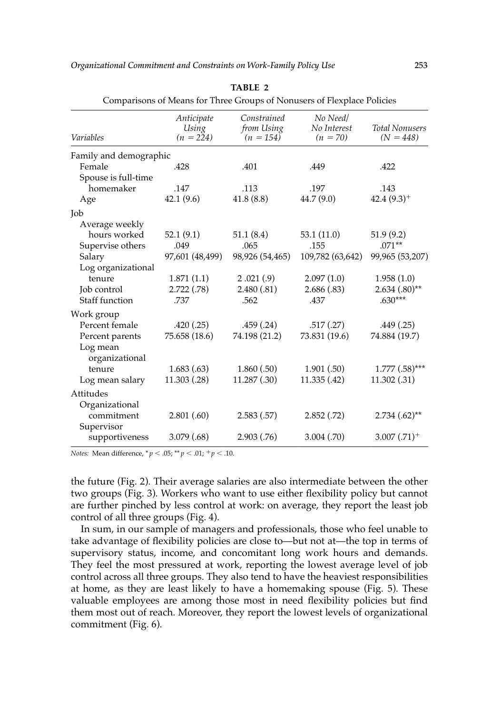| Variables                  | Anticipate<br>Using<br>$(n = 224)$ | Constrained<br>from Using<br>$(n = 154)$ | No Need/<br>No Interest<br>$(n = 70)$ | <b>Total Nonusers</b><br>$(N = 448)$ |
|----------------------------|------------------------------------|------------------------------------------|---------------------------------------|--------------------------------------|
| Family and demographic     |                                    |                                          |                                       |                                      |
| Female                     | .428                               | .401                                     | .449                                  | .422                                 |
| Spouse is full-time        |                                    |                                          |                                       |                                      |
| homemaker                  | .147                               | .113                                     | .197                                  | .143                                 |
| Age                        | 42.1(9.6)                          | 41.8(8.8)                                | 44.7 (9.0)                            | $42.4(9.3)^+$                        |
| Job                        |                                    |                                          |                                       |                                      |
| Average weekly             |                                    |                                          |                                       |                                      |
| hours worked               | 52.1(9.1)                          | 51.1(8.4)                                | 53.1 (11.0)                           | 51.9(9.2)                            |
| Supervise others           | .049                               | .065                                     | .155                                  | $.071***$                            |
| Salary                     | 97,601 (48,499)                    | 98,926 (54,465)                          | 109,782 (63,642)                      | 99,965 (53,207)                      |
| Log organizational         |                                    |                                          |                                       |                                      |
| tenure                     | 1.871(1.1)                         | 2.021(.9)                                | 2.097(1.0)                            | 1.958(1.0)                           |
| Job control                | 2.722(.78)                         | 2.480(.81)                               | 2.686(.83)                            | $2.634$ $(.80)$ **                   |
| Staff function             | .737                               | .562                                     | .437                                  | $.630***$                            |
| Work group                 |                                    |                                          |                                       |                                      |
| Percent female             | .420(.25)                          | .459(.24)                                | .517(.27)                             | .449(.25)                            |
| Percent parents            | 75.658 (18.6)                      | 74.198 (21.2)                            | 73.831 (19.6)                         | 74.884 (19.7)                        |
| Log mean<br>organizational |                                    |                                          |                                       |                                      |
| tenure                     | 1.683(0.63)                        | 1.860(.50)                               | 1.901(.50)                            | $1.777$ $(.58)$ ***                  |
| Log mean salary            | 11.303(.28)                        | 11.287(.30)                              | 11.335(.42)                           | 11.302(.31)                          |
| Attitudes                  |                                    |                                          |                                       |                                      |
| Organizational             |                                    |                                          |                                       |                                      |
| commitment                 | 2.801(.60)                         | 2.583(.57)                               | 2.852(.72)                            | $2.734(.62)$ **                      |
| Supervisor                 |                                    |                                          |                                       |                                      |
| supportiveness             | 3.079(.68)                         | 2.903(.76)                               | 3.004(.70)                            | $3.007(.71)^+$                       |

|  | . BI |
|--|------|
|--|------|

Comparisons of Means for Three Groups of Nonusers of Flexplace Policies

*Notes:* Mean difference,  $p < .05$ ; \*\*  $p < .01$ ;  $+p < .10$ .

the future (Fig. 2). Their average salaries are also intermediate between the other two groups (Fig. 3). Workers who want to use either flexibility policy but cannot are further pinched by less control at work: on average, they report the least job control of all three groups (Fig. 4).

In sum, in our sample of managers and professionals, those who feel unable to take advantage of flexibility policies are close to—but not at—the top in terms of supervisory status, income, and concomitant long work hours and demands. They feel the most pressured at work, reporting the lowest average level of job control across all three groups. They also tend to have the heaviest responsibilities at home, as they are least likely to have a homemaking spouse (Fig. 5). These valuable employees are among those most in need flexibility policies but find them most out of reach. Moreover, they report the lowest levels of organizational commitment (Fig. 6).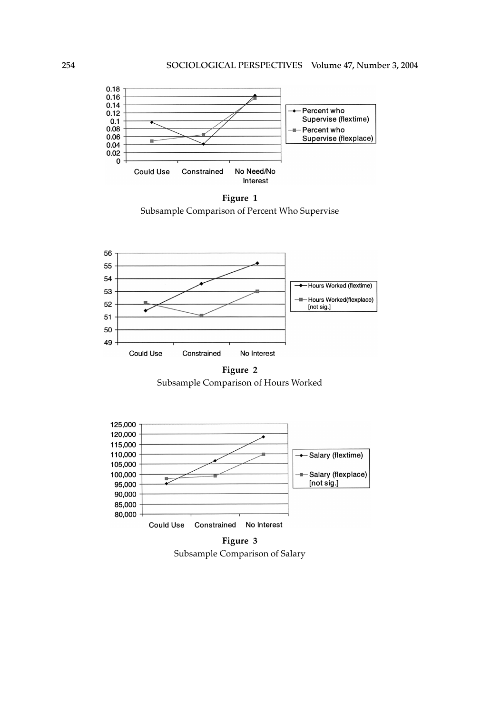

**Figure 1** Subsample Comparison of Percent Who Supervise



**Figure 2** Subsample Comparison of Hours Worked



**Figure 3** Subsample Comparison of Salary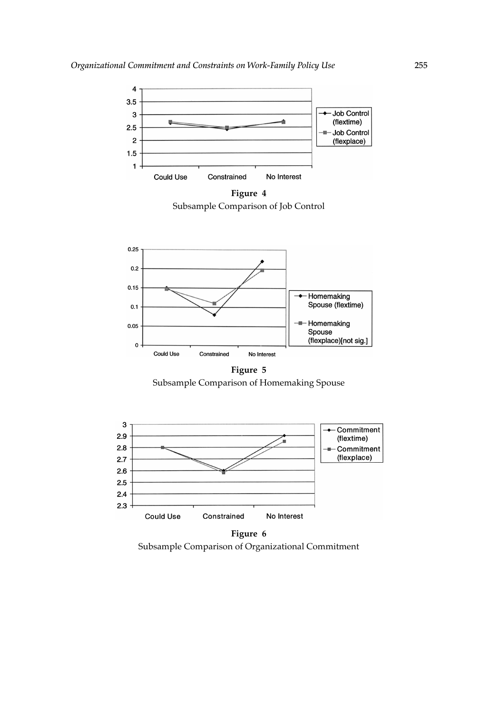

**Figure 4** Subsample Comparison of Job Control



**Figure 5** Subsample Comparison of Homemaking Spouse



Subsample Comparison of Organizational Commitment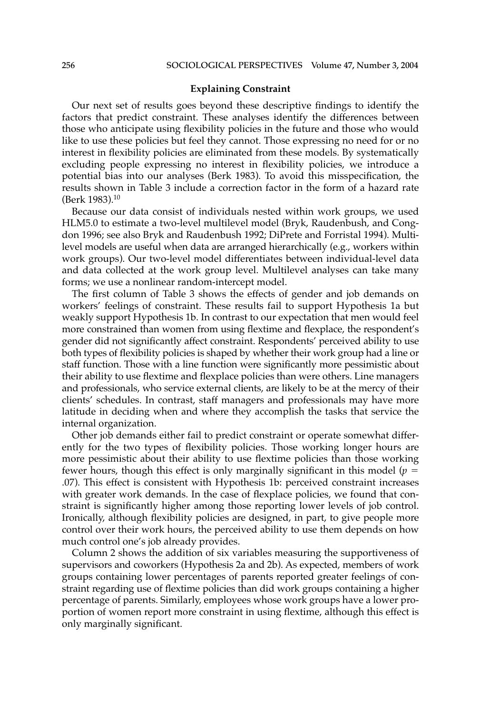#### **Explaining Constraint**

Our next set of results goes beyond these descriptive findings to identify the factors that predict constraint. These analyses identify the differences between those who anticipate using flexibility policies in the future and those who would like to use these policies but feel they cannot. Those expressing no need for or no interest in flexibility policies are eliminated from these models. By systematically excluding people expressing no interest in flexibility policies, we introduce a potential bias into our analyses (Berk 1983). To avoid this misspecification, the results shown in Table 3 include a correction factor in the form of a hazard rate (Berk 1983).<sup>10</sup>

Because our data consist of individuals nested within work groups, we used HLM5.0 to estimate a two-level multilevel model (Bryk, Raudenbush, and Congdon 1996; see also Bryk and Raudenbush 1992; DiPrete and Forristal 1994). Multilevel models are useful when data are arranged hierarchically (e.g., workers within work groups). Our two-level model differentiates between individual-level data and data collected at the work group level. Multilevel analyses can take many forms; we use a nonlinear random-intercept model.

The first column of Table 3 shows the effects of gender and job demands on workers' feelings of constraint. These results fail to support Hypothesis 1a but weakly support Hypothesis 1b. In contrast to our expectation that men would feel more constrained than women from using flextime and flexplace, the respondent's gender did not significantly affect constraint. Respondents' perceived ability to use both types of flexibility policies is shaped by whether their work group had a line or staff function. Those with a line function were significantly more pessimistic about their ability to use flextime and flexplace policies than were others. Line managers and professionals, who service external clients, are likely to be at the mercy of their clients' schedules. In contrast, staff managers and professionals may have more latitude in deciding when and where they accomplish the tasks that service the internal organization.

Other job demands either fail to predict constraint or operate somewhat differently for the two types of flexibility policies. Those working longer hours are more pessimistic about their ability to use flextime policies than those working fewer hours, though this effect is only marginally significant in this model  $(p =$ .07). This effect is consistent with Hypothesis 1b: perceived constraint increases with greater work demands. In the case of flexplace policies, we found that constraint is significantly higher among those reporting lower levels of job control. Ironically, although flexibility policies are designed, in part, to give people more control over their work hours, the perceived ability to use them depends on how much control one's job already provides.

Column 2 shows the addition of six variables measuring the supportiveness of supervisors and coworkers (Hypothesis 2a and 2b). As expected, members of work groups containing lower percentages of parents reported greater feelings of constraint regarding use of flextime policies than did work groups containing a higher percentage of parents. Similarly, employees whose work groups have a lower proportion of women report more constraint in using flextime, although this effect is only marginally significant.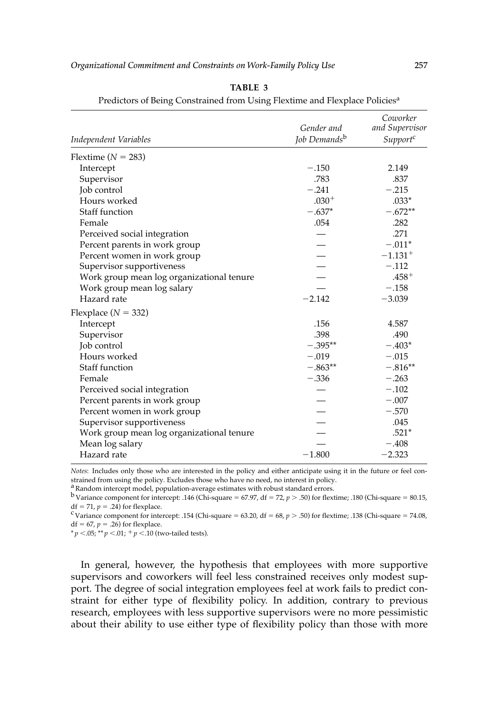| Independent Variables                     | Gender and<br>Job Demandsb | Coworker<br>and Supervisor<br>Supportc |
|-------------------------------------------|----------------------------|----------------------------------------|
| Flextime ( $N = 283$ )                    |                            |                                        |
| Intercept                                 | $-.150$                    | 2.149                                  |
| Supervisor                                | .783                       | .837                                   |
| Job control                               | $-.241$                    | $-.215$                                |
| Hours worked                              | $.030+$                    | $.033*$                                |
| Staff function                            | $-.637*$                   | $-.672**$                              |
| Female                                    | .054                       | .282                                   |
| Perceived social integration              |                            | .271                                   |
| Percent parents in work group             | $\overline{\phantom{0}}$   | $-.011*$                               |
| Percent women in work group               |                            | $-1.131+$                              |
| Supervisor supportiveness                 |                            | $-.112$                                |
| Work group mean log organizational tenure |                            | $.458 +$                               |
| Work group mean log salary                |                            | $-.158$                                |
| Hazard rate                               | $-2.142$                   | $-3.039$                               |
| Flexplace ( $N = 332$ )                   |                            |                                        |
| Intercept                                 | .156                       | 4.587                                  |
| Supervisor                                | .398                       | .490                                   |
| Job control                               | $-.395**$                  | $-.403*$                               |
| Hours worked                              | $-.019$                    | $-.015$                                |
| Staff function                            | $-.863**$                  | $-.816**$                              |
| Female                                    | $-.336$                    | $-.263$                                |
| Perceived social integration              |                            | $-.102$                                |
| Percent parents in work group             |                            | $-.007$                                |
| Percent women in work group               |                            | $-.570$                                |
| Supervisor supportiveness                 |                            | .045                                   |
| Work group mean log organizational tenure |                            | $.521*$                                |
| Mean log salary                           |                            | $-.408$                                |
| Hazard rate                               | $-1.800$                   | $-2.323$                               |

**TABLE 3**

Predictors of Being Constrained from Using Flextime and Flexplace Policies<sup>a</sup>

*Notes*: Includes only those who are interested in the policy and either anticipate using it in the future or feel constrained from using the policy. Excludes those who have no need, no interest in policy.

<sup>a</sup> Random intercept model, population-average estimates with robust standard errors.

<sup>b</sup> Variance component for intercept: .146 (Chi-square = 67.97, df = 72,  $p > .50$ ) for flextime; .180 (Chi-square = 80.15,  $df = 71, p =$ 

df = 71, *p* = .24) for flexplace.<br><sup>c</sup> Variance component for intercept: .154 (Chi-square = 63.20, df = 68, *p* > .50) for flextime; .138 (Chi-square = 74.08,  $df = 67$ ,  $p = .26$ ) for flexplace.

 $* p < 0.05$ ;  $** p < 0.01$ ;  $+ p < 10$  (two-tailed tests).

In general, however, the hypothesis that employees with more supportive supervisors and coworkers will feel less constrained receives only modest support. The degree of social integration employees feel at work fails to predict constraint for either type of flexibility policy. In addition, contrary to previous research, employees with less supportive supervisors were no more pessimistic about their ability to use either type of flexibility policy than those with more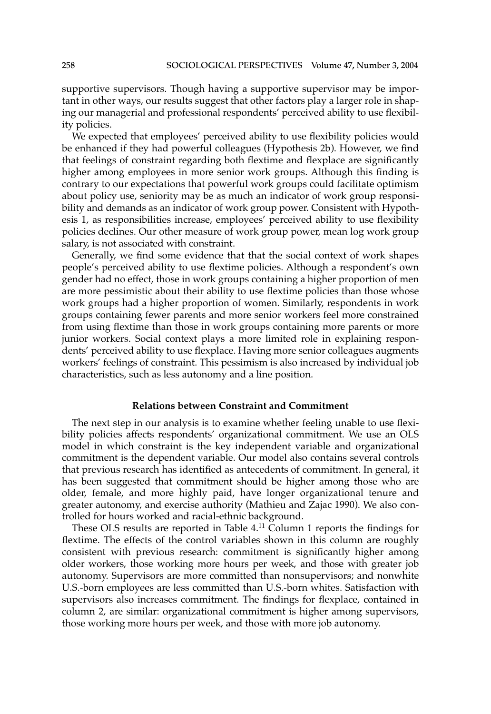supportive supervisors. Though having a supportive supervisor may be important in other ways, our results suggest that other factors play a larger role in shaping our managerial and professional respondents' perceived ability to use flexibility policies.

We expected that employees' perceived ability to use flexibility policies would be enhanced if they had powerful colleagues (Hypothesis 2b). However, we find that feelings of constraint regarding both flextime and flexplace are significantly higher among employees in more senior work groups. Although this finding is contrary to our expectations that powerful work groups could facilitate optimism about policy use, seniority may be as much an indicator of work group responsibility and demands as an indicator of work group power. Consistent with Hypothesis 1, as responsibilities increase, employees' perceived ability to use flexibility policies declines. Our other measure of work group power, mean log work group salary, is not associated with constraint.

Generally, we find some evidence that that the social context of work shapes people's perceived ability to use flextime policies. Although a respondent's own gender had no effect, those in work groups containing a higher proportion of men are more pessimistic about their ability to use flextime policies than those whose work groups had a higher proportion of women. Similarly, respondents in work groups containing fewer parents and more senior workers feel more constrained from using flextime than those in work groups containing more parents or more junior workers. Social context plays a more limited role in explaining respondents' perceived ability to use flexplace. Having more senior colleagues augments workers' feelings of constraint. This pessimism is also increased by individual job characteristics, such as less autonomy and a line position.

#### **Relations between Constraint and Commitment**

The next step in our analysis is to examine whether feeling unable to use flexibility policies affects respondents' organizational commitment. We use an OLS model in which constraint is the key independent variable and organizational commitment is the dependent variable. Our model also contains several controls that previous research has identified as antecedents of commitment. In general, it has been suggested that commitment should be higher among those who are older, female, and more highly paid, have longer organizational tenure and greater autonomy, and exercise authority (Mathieu and Zajac 1990). We also controlled for hours worked and racial-ethnic background.

These OLS results are reported in Table 4.11 Column 1 reports the findings for flextime. The effects of the control variables shown in this column are roughly consistent with previous research: commitment is significantly higher among older workers, those working more hours per week, and those with greater job autonomy. Supervisors are more committed than nonsupervisors; and nonwhite U.S.-born employees are less committed than U.S.-born whites. Satisfaction with supervisors also increases commitment. The findings for flexplace, contained in column 2, are similar: organizational commitment is higher among supervisors, those working more hours per week, and those with more job autonomy.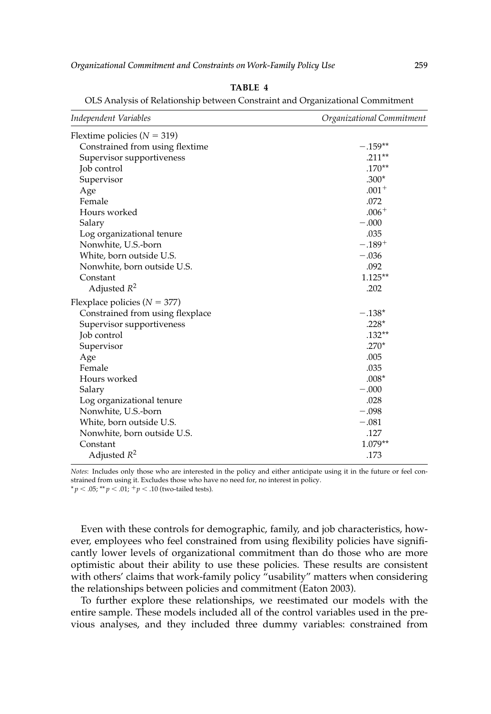| Independent Variables            | Organizational Commitment |
|----------------------------------|---------------------------|
| Flextime policies ( $N = 319$ )  |                           |
| Constrained from using flextime  | $-.159**$                 |
| Supervisor supportiveness        | $.211**$                  |
| Job control                      | $.170**$                  |
| Supervisor                       | $.300*$                   |
| Age                              | $.001 +$                  |
| Female                           | .072                      |
| Hours worked                     | $.006+$                   |
| Salary                           | $-.000$                   |
| Log organizational tenure        | .035                      |
| Nonwhite, U.S.-born              | $-.189+$                  |
| White, born outside U.S.         | $-.036$                   |
| Nonwhite, born outside U.S.      | .092                      |
| Constant                         | $1.125***$                |
| Adjusted $R^2$                   | .202                      |
| Flexplace policies ( $N = 377$ ) |                           |
| Constrained from using flexplace | $-.138*$                  |
| Supervisor supportiveness        | $.228*$                   |
| Job control                      | $.132**$                  |
| Supervisor                       | $.270*$                   |
| Age                              | .005                      |
| Female                           | .035                      |
| Hours worked                     | $.008*$                   |
| Salary                           | $-.000$                   |
| Log organizational tenure        | .028                      |
| Nonwhite, U.S.-born              | $-.098$                   |
| White, born outside U.S.         | $-.081$                   |
| Nonwhite, born outside U.S.      | .127                      |
| Constant                         | $1.079**$                 |
| Adjusted $R^2$                   | .173                      |

**TABLE 4**

OLS Analysis of Relationship between Constraint and Organizational Commitment

*Notes*: Includes only those who are interested in the policy and either anticipate using it in the future or feel constrained from using it. Excludes those who have no need for, no interest in policy.

 $* p < .05; ** p < .01; * p < .10$  (two-tailed tests).

Even with these controls for demographic, family, and job characteristics, however, employees who feel constrained from using flexibility policies have significantly lower levels of organizational commitment than do those who are more optimistic about their ability to use these policies. These results are consistent with others' claims that work-family policy "usability" matters when considering the relationships between policies and commitment (Eaton 2003).

To further explore these relationships, we reestimated our models with the entire sample. These models included all of the control variables used in the previous analyses, and they included three dummy variables: constrained from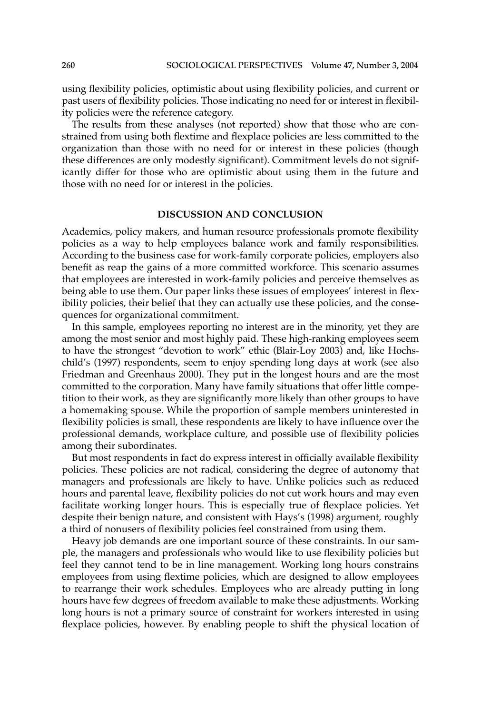using flexibility policies, optimistic about using flexibility policies, and current or past users of flexibility policies. Those indicating no need for or interest in flexibility policies were the reference category.

The results from these analyses (not reported) show that those who are constrained from using both flextime and flexplace policies are less committed to the organization than those with no need for or interest in these policies (though these differences are only modestly significant). Commitment levels do not significantly differ for those who are optimistic about using them in the future and those with no need for or interest in the policies.

### **DISCUSSION AND CONCLUSION**

Academics, policy makers, and human resource professionals promote flexibility policies as a way to help employees balance work and family responsibilities. According to the business case for work-family corporate policies, employers also benefit as reap the gains of a more committed workforce. This scenario assumes that employees are interested in work-family policies and perceive themselves as being able to use them. Our paper links these issues of employees' interest in flexibility policies, their belief that they can actually use these policies, and the consequences for organizational commitment.

In this sample, employees reporting no interest are in the minority, yet they are among the most senior and most highly paid. These high-ranking employees seem to have the strongest "devotion to work" ethic (Blair-Loy 2003) and, like Hochschild's (1997) respondents, seem to enjoy spending long days at work (see also Friedman and Greenhaus 2000). They put in the longest hours and are the most committed to the corporation. Many have family situations that offer little competition to their work, as they are significantly more likely than other groups to have a homemaking spouse. While the proportion of sample members uninterested in flexibility policies is small, these respondents are likely to have influence over the professional demands, workplace culture, and possible use of flexibility policies among their subordinates.

But most respondents in fact do express interest in officially available flexibility policies. These policies are not radical, considering the degree of autonomy that managers and professionals are likely to have. Unlike policies such as reduced hours and parental leave, flexibility policies do not cut work hours and may even facilitate working longer hours. This is especially true of flexplace policies. Yet despite their benign nature, and consistent with Hays's (1998) argument, roughly a third of nonusers of flexibility policies feel constrained from using them.

Heavy job demands are one important source of these constraints. In our sample, the managers and professionals who would like to use flexibility policies but feel they cannot tend to be in line management. Working long hours constrains employees from using flextime policies, which are designed to allow employees to rearrange their work schedules. Employees who are already putting in long hours have few degrees of freedom available to make these adjustments. Working long hours is not a primary source of constraint for workers interested in using flexplace policies, however. By enabling people to shift the physical location of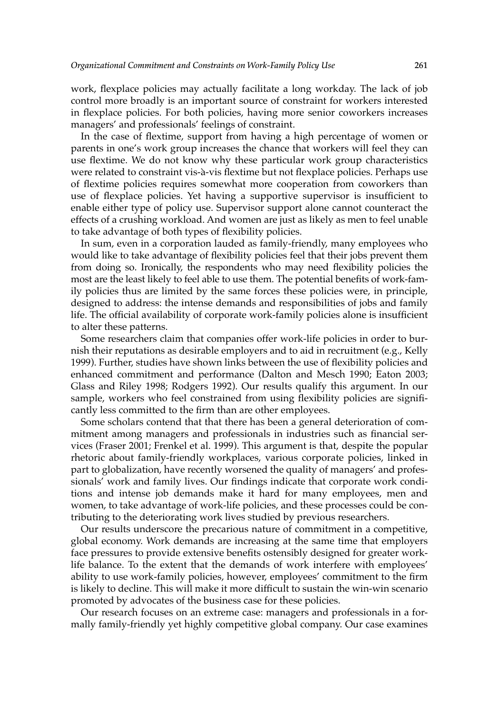work, flexplace policies may actually facilitate a long workday. The lack of job control more broadly is an important source of constraint for workers interested in flexplace policies. For both policies, having more senior coworkers increases managers' and professionals' feelings of constraint.

In the case of flextime, support from having a high percentage of women or parents in one's work group increases the chance that workers will feel they can use flextime. We do not know why these particular work group characteristics were related to constraint vis-à-vis flextime but not flexplace policies. Perhaps use of flextime policies requires somewhat more cooperation from coworkers than use of flexplace policies. Yet having a supportive supervisor is insufficient to enable either type of policy use. Supervisor support alone cannot counteract the effects of a crushing workload. And women are just as likely as men to feel unable to take advantage of both types of flexibility policies.

In sum, even in a corporation lauded as family-friendly, many employees who would like to take advantage of flexibility policies feel that their jobs prevent them from doing so. Ironically, the respondents who may need flexibility policies the most are the least likely to feel able to use them. The potential benefits of work-family policies thus are limited by the same forces these policies were, in principle, designed to address: the intense demands and responsibilities of jobs and family life. The official availability of corporate work-family policies alone is insufficient to alter these patterns.

Some researchers claim that companies offer work-life policies in order to burnish their reputations as desirable employers and to aid in recruitment (e.g., Kelly 1999). Further, studies have shown links between the use of flexibility policies and enhanced commitment and performance (Dalton and Mesch 1990; Eaton 2003; Glass and Riley 1998; Rodgers 1992). Our results qualify this argument. In our sample, workers who feel constrained from using flexibility policies are significantly less committed to the firm than are other employees.

Some scholars contend that that there has been a general deterioration of commitment among managers and professionals in industries such as financial services (Fraser 2001; Frenkel et al. 1999). This argument is that, despite the popular rhetoric about family-friendly workplaces, various corporate policies, linked in part to globalization, have recently worsened the quality of managers' and professionals' work and family lives. Our findings indicate that corporate work conditions and intense job demands make it hard for many employees, men and women, to take advantage of work-life policies, and these processes could be contributing to the deteriorating work lives studied by previous researchers.

Our results underscore the precarious nature of commitment in a competitive, global economy. Work demands are increasing at the same time that employers face pressures to provide extensive benefits ostensibly designed for greater worklife balance. To the extent that the demands of work interfere with employees' ability to use work-family policies, however, employees' commitment to the firm is likely to decline. This will make it more difficult to sustain the win-win scenario promoted by advocates of the business case for these policies.

Our research focuses on an extreme case: managers and professionals in a formally family-friendly yet highly competitive global company. Our case examines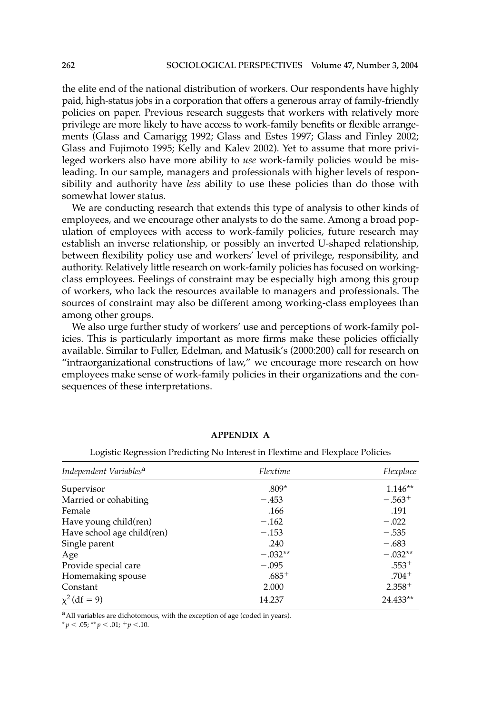the elite end of the national distribution of workers. Our respondents have highly paid, high-status jobs in a corporation that offers a generous array of family-friendly policies on paper. Previous research suggests that workers with relatively more privilege are more likely to have access to work-family benefits or flexible arrangements (Glass and Camarigg 1992; Glass and Estes 1997; Glass and Finley 2002; Glass and Fujimoto 1995; Kelly and Kalev 2002). Yet to assume that more privileged workers also have more ability to *use* work-family policies would be misleading. In our sample, managers and professionals with higher levels of responsibility and authority have *less* ability to use these policies than do those with somewhat lower status.

We are conducting research that extends this type of analysis to other kinds of employees, and we encourage other analysts to do the same. Among a broad population of employees with access to work-family policies, future research may establish an inverse relationship, or possibly an inverted U-shaped relationship, between flexibility policy use and workers' level of privilege, responsibility, and authority. Relatively little research on work-family policies has focused on workingclass employees. Feelings of constraint may be especially high among this group of workers, who lack the resources available to managers and professionals. The sources of constraint may also be different among working-class employees than among other groups.

We also urge further study of workers' use and perceptions of work-family policies. This is particularly important as more firms make these policies officially available. Similar to Fuller, Edelman, and Matusik's (2000:200) call for research on "intraorganizational constructions of law," we encourage more research on how employees make sense of work-family policies in their organizations and the consequences of these interpretations.

| $\omega$<br>◡                      |            |            |
|------------------------------------|------------|------------|
| Independent Variables <sup>a</sup> | Flextime   | Flexplace  |
| Supervisor                         | $.809*$    | $1.146**$  |
| Married or cohabiting              | $-.453$    | $-.563+$   |
| Female                             | .166       | .191       |
| Have young child(ren)              | $-.162$    | $-.022$    |
| Have school age child(ren)         | $-.153$    | $-.535$    |
| Single parent                      | .240       | $-.683$    |
| Age                                | $-.032**$  | $-.032**$  |
| Provide special care               | $-.095$    | $.553^{+}$ |
| Homemaking spouse                  | $.685^{+}$ | $.704 +$   |
| Constant                           | 2.000      | $2.358 +$  |
| $x^2$ (df = 9)                     | 14.237     | 24.433**   |
|                                    |            |            |

#### **APPENDIX A**

Logistic Regression Predicting No Interest in Flextime and Flexplace Policies

<sup>a</sup> All variables are dichotomous, with the exception of age (coded in years).

 $* p < .05; ** p < .01; * p < .10.$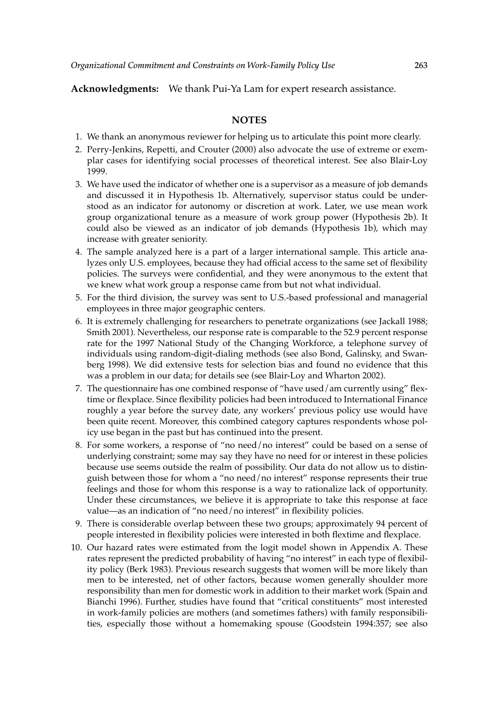### **Acknowledgments:** We thank Pui-Ya Lam for expert research assistance.

#### **NOTES**

- 1. We thank an anonymous reviewer for helping us to articulate this point more clearly.
- 2. Perry-Jenkins, Repetti, and Crouter (2000) also advocate the use of extreme or exemplar cases for identifying social processes of theoretical interest. See also Blair-Loy 1999.
- 3. We have used the indicator of whether one is a supervisor as a measure of job demands and discussed it in Hypothesis 1b. Alternatively, supervisor status could be understood as an indicator for autonomy or discretion at work. Later, we use mean work group organizational tenure as a measure of work group power (Hypothesis 2b). It could also be viewed as an indicator of job demands (Hypothesis 1b), which may increase with greater seniority.
- 4. The sample analyzed here is a part of a larger international sample. This article analyzes only U.S. employees, because they had official access to the same set of flexibility policies. The surveys were confidential, and they were anonymous to the extent that we knew what work group a response came from but not what individual.
- 5. For the third division, the survey was sent to U.S.-based professional and managerial employees in three major geographic centers.
- 6. It is extremely challenging for researchers to penetrate organizations (see Jackall 1988; Smith 2001). Nevertheless, our response rate is comparable to the 52.9 percent response rate for the 1997 National Study of the Changing Workforce, a telephone survey of individuals using random-digit-dialing methods (see also Bond, Galinsky, and Swanberg 1998). We did extensive tests for selection bias and found no evidence that this was a problem in our data; for details see (see Blair-Loy and Wharton 2002).
- 7. The questionnaire has one combined response of "have used/am currently using" flextime or flexplace. Since flexibility policies had been introduced to International Finance roughly a year before the survey date, any workers' previous policy use would have been quite recent. Moreover, this combined category captures respondents whose policy use began in the past but has continued into the present.
- 8. For some workers, a response of "no need/no interest" could be based on a sense of underlying constraint; some may say they have no need for or interest in these policies because use seems outside the realm of possibility. Our data do not allow us to distinguish between those for whom a "no need/no interest" response represents their true feelings and those for whom this response is a way to rationalize lack of opportunity. Under these circumstances, we believe it is appropriate to take this response at face value—as an indication of "no need/no interest" in flexibility policies.
- 9. There is considerable overlap between these two groups; approximately 94 percent of people interested in flexibility policies were interested in both flextime and flexplace.
- 10. Our hazard rates were estimated from the logit model shown in Appendix A. These rates represent the predicted probability of having "no interest" in each type of flexibility policy (Berk 1983). Previous research suggests that women will be more likely than men to be interested, net of other factors, because women generally shoulder more responsibility than men for domestic work in addition to their market work (Spain and Bianchi 1996). Further, studies have found that "critical constituents" most interested in work-family policies are mothers (and sometimes fathers) with family responsibilities, especially those without a homemaking spouse (Goodstein 1994:357; see also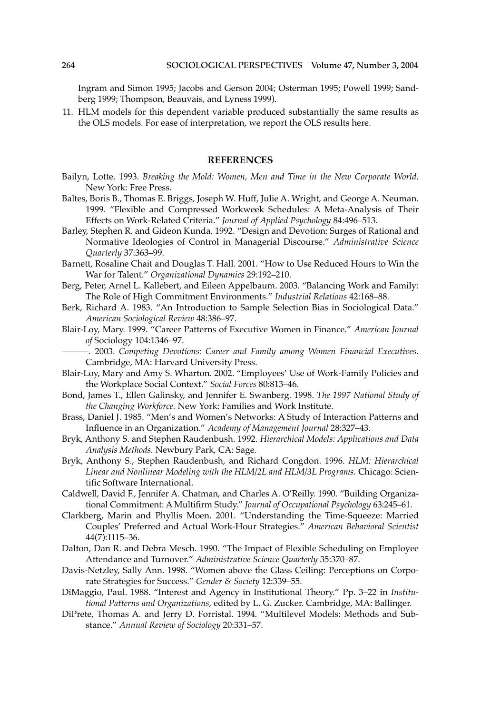Ingram and Simon 1995; Jacobs and Gerson 2004; Osterman 1995; Powell 1999; Sandberg 1999; Thompson, Beauvais, and Lyness 1999).

11. HLM models for this dependent variable produced substantially the same results as the OLS models. For ease of interpretation, we report the OLS results here.

## **REFERENCES**

- Bailyn, Lotte. 1993. *Breaking the Mold: Women, Men and Time in the New Corporate World.* New York: Free Press.
- Baltes, Boris B., Thomas E. Briggs, Joseph W. Huff, Julie A. Wright, and George A. Neuman. 1999. "Flexible and Compressed Workweek Schedules: A Meta-Analysis of Their Effects on Work-Related Criteria." *Journal of Applied Psychology* 84:496–513.
- Barley, Stephen R. and Gideon Kunda. 1992. "Design and Devotion: Surges of Rational and Normative Ideologies of Control in Managerial Discourse." *Administrative Science Quarterly* 37:363–99.
- Barnett, Rosaline Chait and Douglas T. Hall. 2001. "How to Use Reduced Hours to Win the War for Talent." *Organizational Dynamics* 29:192–210.
- Berg, Peter, Arnel L. Kallebert, and Eileen Appelbaum. 2003. "Balancing Work and Family: The Role of High Commitment Environments." *Industrial Relations* 42:168–88.
- Berk, Richard A. 1983. "An Introduction to Sample Selection Bias in Sociological Data." *American Sociological Review* 48:386–97.
- Blair-Loy, Mary. 1999. "Career Patterns of Executive Women in Finance." *American Journal of* Sociology 104:1346–97.

———. 2003. *Competing Devotions: Career and Family among Women Financial Executives.* Cambridge, MA: Harvard University Press.

- Blair-Loy, Mary and Amy S. Wharton. 2002. "Employees' Use of Work-Family Policies and the Workplace Social Context." *Social Forces* 80:813–46.
- Bond, James T., Ellen Galinsky, and Jennifer E. Swanberg. 1998. *The 1997 National Study of the Changing Workforce.* New York: Families and Work Institute.
- Brass, Daniel J. 1985. "Men's and Women's Networks: A Study of Interaction Patterns and Influence in an Organization." *Academy of Management Journal* 28:327–43.
- Bryk, Anthony S. and Stephen Raudenbush. 1992. *Hierarchical Models: Applications and Data Analysis Methods.* Newbury Park, CA: Sage.
- Bryk, Anthony S., Stephen Raudenbush, and Richard Congdon. 1996. *HLM: Hierarchical Linear and Nonlinear Modeling with the HLM/2L and HLM/3L Programs.* Chicago: Scientific Software International.
- Caldwell, David F., Jennifer A. Chatman, and Charles A. O'Reilly. 1990. "Building Organizational Commitment: A Multifirm Study." *Journal of Occupational Psychology* 63:245–61.
- Clarkberg, Marin and Phyllis Moen. 2001. "Understanding the Time-Squeeze: Married Couples' Preferred and Actual Work-Hour Strategies." *American Behavioral Scientist* 44(7):1115–36.
- Dalton, Dan R. and Debra Mesch. 1990. "The Impact of Flexible Scheduling on Employee Attendance and Turnover." *Administrative Science Quarterly* 35:370–87.
- Davis-Netzley, Sally Ann. 1998. "Women above the Glass Ceiling: Perceptions on Corporate Strategies for Success." *Gender & Society* 12:339–55.
- DiMaggio, Paul. 1988. "Interest and Agency in Institutional Theory." Pp. 3–22 in *Institutional Patterns and Organizations*, edited by L. G. Zucker. Cambridge, MA: Ballinger.
- DiPrete, Thomas A. and Jerry D. Forristal. 1994. "Multilevel Models: Methods and Substance." *Annual Review of Sociology* 20:331–57.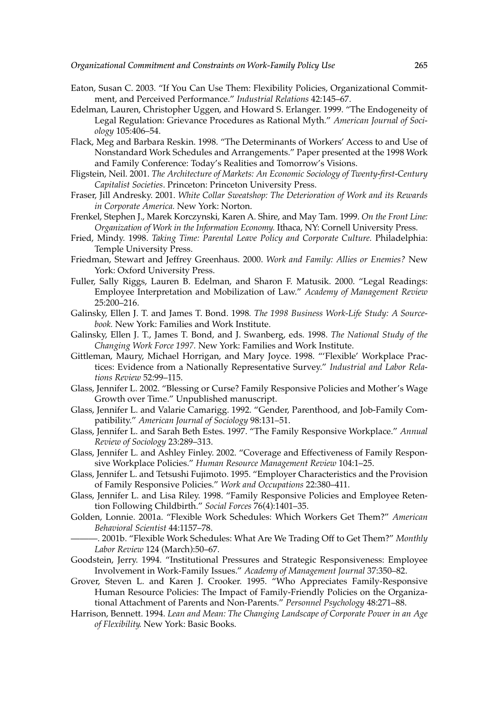- Eaton, Susan C. 2003. "If You Can Use Them: Flexibility Policies, Organizational Commitment, and Perceived Performance." *Industrial Relations* 42:145–67.
- Edelman, Lauren, Christopher Uggen, and Howard S. Erlanger. 1999. "The Endogeneity of Legal Regulation: Grievance Procedures as Rational Myth." *American Journal of Sociology* 105:406–54.
- Flack, Meg and Barbara Reskin. 1998. "The Determinants of Workers' Access to and Use of Nonstandard Work Schedules and Arrangements." Paper presented at the 1998 Work and Family Conference: Today's Realities and Tomorrow's Visions.
- Fligstein, Neil. 2001. *The Architecture of Markets: An Economic Sociology of Twenty-first-Century Capitalist Societies*. Princeton: Princeton University Press.
- Fraser, Jill Andresky. 2001. *White Collar Sweatshop: The Deterioration of Work and its Rewards in Corporate America.* New York: Norton.
- Frenkel, Stephen J., Marek Korczynski, Karen A. Shire, and May Tam. 1999. *On the Front Line: Organization of Work in the Information Economy.* Ithaca, NY: Cornell University Press.
- Fried, Mindy. 1998. *Taking Time: Parental Leave Policy and Corporate Culture.* Philadelphia: Temple University Press.
- Friedman, Stewart and Jeffrey Greenhaus. 2000. *Work and Family: Allies or Enemies?* New York: Oxford University Press.
- Fuller, Sally Riggs, Lauren B. Edelman, and Sharon F. Matusik. 2000. "Legal Readings: Employee Interpretation and Mobilization of Law." *Academy of Management Review* 25:200–216.
- Galinsky, Ellen J. T. and James T. Bond. 1998*. The 1998 Business Work-Life Study: A Sourcebook.* New York: Families and Work Institute.
- Galinsky, Ellen J. T., James T. Bond, and J. Swanberg, eds. 1998. *The National Study of the Changing Work Force 1997.* New York: Families and Work Institute.
- Gittleman, Maury, Michael Horrigan, and Mary Joyce. 1998. "'Flexible' Workplace Practices: Evidence from a Nationally Representative Survey." *Industrial and Labor Relations Review* 52:99–115.
- Glass, Jennifer L. 2002. "Blessing or Curse? Family Responsive Policies and Mother's Wage Growth over Time." Unpublished manuscript.
- Glass, Jennifer L. and Valarie Camarigg. 1992. "Gender, Parenthood, and Job-Family Compatibility." *American Journal of Sociology* 98:131–51.
- Glass, Jennifer L. and Sarah Beth Estes. 1997. "The Family Responsive Workplace." *Annual Review of Sociology* 23:289–313.
- Glass, Jennifer L. and Ashley Finley. 2002. "Coverage and Effectiveness of Family Responsive Workplace Policies." *Human Resource Management Review* 104:1–25.
- Glass, Jennifer L. and Tetsushi Fujimoto. 1995. "Employer Characteristics and the Provision of Family Responsive Policies." *Work and Occupations* 22:380–411.
- Glass, Jennifer L. and Lisa Riley. 1998. "Family Responsive Policies and Employee Retention Following Childbirth." *Social Forces* 76(4):1401–35.
- Golden, Lonnie. 2001a. "Flexible Work Schedules: Which Workers Get Them?" *American Behavioral Scientist* 44:1157–78.
- ———. 2001b. "Flexible Work Schedules: What Are We Trading Off to Get Them?" *Monthly Labor Review* 124 (March):50–67.
- Goodstein, Jerry. 1994. "Institutional Pressures and Strategic Responsiveness: Employee Involvement in Work-Family Issues." *Academy of Management Journal* 37:350–82.
- Grover, Steven L. and Karen J. Crooker. 1995. "Who Appreciates Family-Responsive Human Resource Policies: The Impact of Family-Friendly Policies on the Organizational Attachment of Parents and Non-Parents." *Personnel Psychology* 48:271–88.
- Harrison, Bennett. 1994. *Lean and Mean: The Changing Landscape of Corporate Power in an Age of Flexibility*. New York: Basic Books.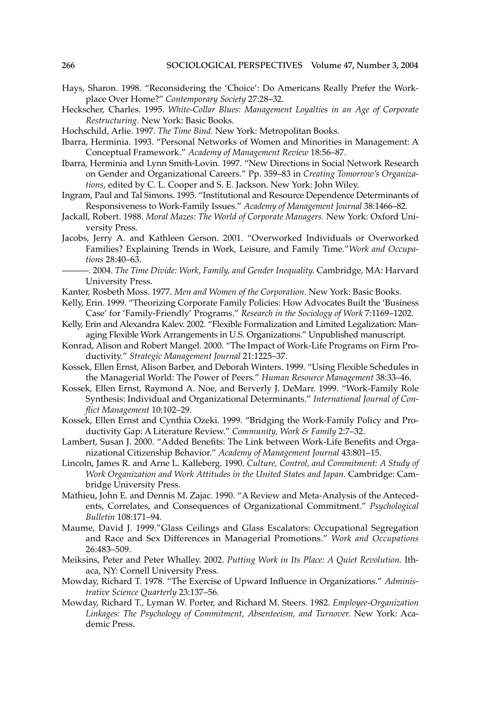Hays, Sharon. 1998. "Reconsidering the 'Choice': Do Americans Really Prefer the Workplace Over Home?" *Contemporary Society* 27:28–32.

Heckscher, Charles. 1995. *White-Collar Blues: Management Loyalties in an Age of Corporate Restructuring*. New York: Basic Books.

- Hochschild, Arlie. 1997. *The Time Bind.* New York: Metropolitan Books.
- Ibarra, Herminia. 1993. "Personal Networks of Women and Minorities in Management: A Conceptual Framework." *Academy of Management Review* 18:56–87.
- Ibarra, Herminia and Lynn Smith-Lovin. 1997. "New Directions in Social Network Research on Gender and Organizational Careers." Pp. 359–83 in *Creating Tomorrow's Organizations*, edited by C. L. Cooper and S. E. Jackson. New York: John Wiley.
- Ingram, Paul and Tal Simons. 1995. "Institutional and Resource Dependence Determinants of Responsiveness to Work-Family Issues." *Academy of Management Journal* 38:1466–82.
- Jackall, Robert. 1988. *Moral Mazes: The World of Corporate Managers.* New York: Oxford University Press.
- Jacobs, Jerry A. and Kathleen Gerson. 2001. "Overworked Individuals or Overworked Families? Explaining Trends in Work, Leisure, and Family Time."*Work and Occupations* 28:40–63.
	- ———. 2004. *The Time Divide: Work, Family, and Gender Inequality.* Cambridge, MA: Harvard University Press.
- Kanter, Rosbeth Moss. 1977. *Men and Women of the Corporation.* New York: Basic Books.
- Kelly, Erin. 1999. "Theorizing Corporate Family Policies: How Advocates Built the 'Business Case' for 'Family-Friendly' Programs." *Research in the Sociology of Work* 7:1169–1202.
- Kelly, Erin and Alexandra Kalev. 2002. "Flexible Formalization and Limited Legalization: Managing Flexible Work Arrangements in U.S. Organizations." Unpublished manuscript.
- Konrad, Alison and Robert Mangel. 2000. "The Impact of Work-Life Programs on Firm Productivity." *Strategic Management Journal* 21:1225–37.
- Kossek, Ellen Ernst, Alison Barber, and Deborah Winters. 1999. "Using Flexible Schedules in the Managerial World: The Power of Peers." *Human Resource Management* 38:33–46.
- Kossek, Ellen Ernst, Raymond A. Noe, and Berverly J. DeMarr. 1999. "Work-Family Role Synthesis: Individual and Organizational Determinants." *International Journal of Conflict Management* 10:102–29.
- Kossek, Ellen Ernst and Cynthia Ozeki. 1999. "Bridging the Work-Family Policy and Productivity Gap: A Literature Review." *Community, Work & Family* 2:7–32.
- Lambert, Susan J. 2000. "Added Benefits: The Link between Work-Life Benefits and Organizational Citizenship Behavior." *Academy of Management Journal* 43:801–15.
- Lincoln, James R. and Arne L. Kalleberg. 1990. *Culture, Control, and Commitment: A Study of Work Organization and Work Attitudes in the United States and Japan*. Cambridge: Cambridge University Press.
- Mathieu, John E. and Dennis M. Zajac. 1990. "A Review and Meta-Analysis of the Antecedents, Correlates, and Consequences of Organizational Commitment." *Psychological Bulletin* 108:171–94.
- Maume, David J. 1999."Glass Ceilings and Glass Escalators: Occupational Segregation and Race and Sex Differences in Managerial Promotions." *Work and Occupations* 26:483–509.
- Meiksins, Peter and Peter Whalley. 2002. *Putting Work in Its Place: A Quiet Revolution.* Ithaca, NY: Cornell University Press.
- Mowday, Richard T. 1978. "The Exercise of Upward Influence in Organizations." *Administrative Science Quarterly* 23:137–56.
- Mowday, Richard T., Lyman W. Porter, and Richard M. Steers. 1982. *Employee-Organization Linkages: The Psychology of Commitment, Absenteeism, and Turnover.* New York: Academic Press.